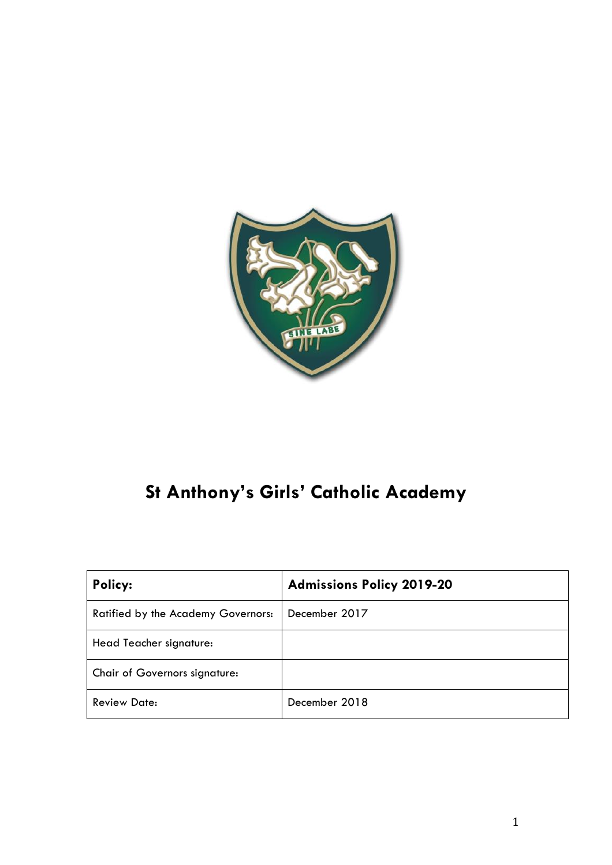

# **St Anthony's Girls' Catholic Academy**

| Policy:                            | <b>Admissions Policy 2019-20</b> |
|------------------------------------|----------------------------------|
| Ratified by the Academy Governors: | December 2017                    |
| Head Teacher signature:            |                                  |
| Chair of Governors signature:      |                                  |
| <b>Review Date:</b>                | December 2018                    |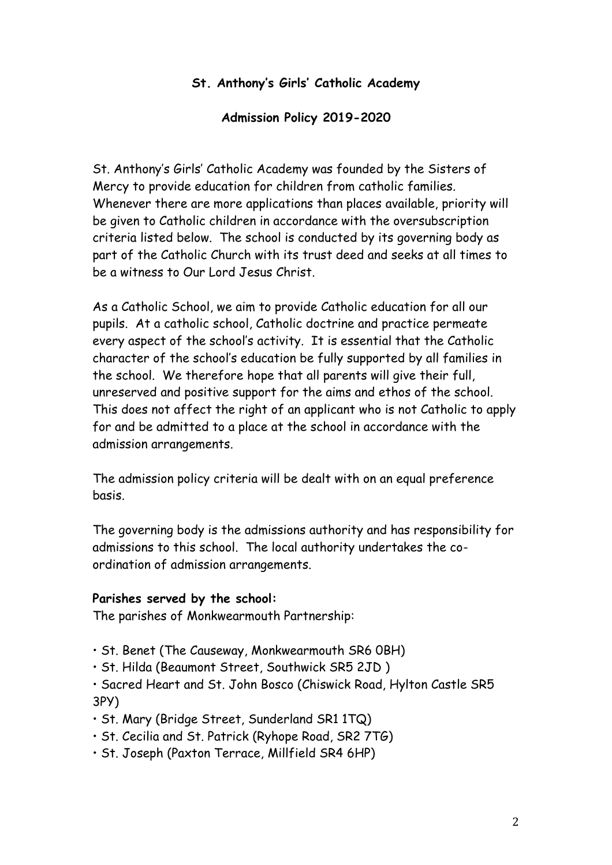## **St. Anthony's Girls' Catholic Academy**

#### **Admission Policy 2019-2020**

St. Anthony's Girls' Catholic Academy was founded by the Sisters of Mercy to provide education for children from catholic families. Whenever there are more applications than places available, priority will be given to Catholic children in accordance with the oversubscription criteria listed below. The school is conducted by its governing body as part of the Catholic Church with its trust deed and seeks at all times to be a witness to Our Lord Jesus Christ.

As a Catholic School, we aim to provide Catholic education for all our pupils. At a catholic school, Catholic doctrine and practice permeate every aspect of the school's activity. It is essential that the Catholic character of the school's education be fully supported by all families in the school. We therefore hope that all parents will give their full, unreserved and positive support for the aims and ethos of the school. This does not affect the right of an applicant who is not Catholic to apply for and be admitted to a place at the school in accordance with the admission arrangements.

The admission policy criteria will be dealt with on an equal preference basis.

The governing body is the admissions authority and has responsibility for admissions to this school. The local authority undertakes the coordination of admission arrangements.

#### **Parishes served by the school:**

The parishes of Monkwearmouth Partnership:

- St. Benet (The Causeway, Monkwearmouth SR6 0BH)
- St. Hilda (Beaumont Street, Southwick SR5 2JD )
- Sacred Heart and St. John Bosco (Chiswick Road, Hylton Castle SR5 3PY)
- St. Mary (Bridge Street, Sunderland SR1 1TQ)
- St. Cecilia and St. Patrick (Ryhope Road, SR2 7TG)
- St. Joseph (Paxton Terrace, Millfield SR4 6HP)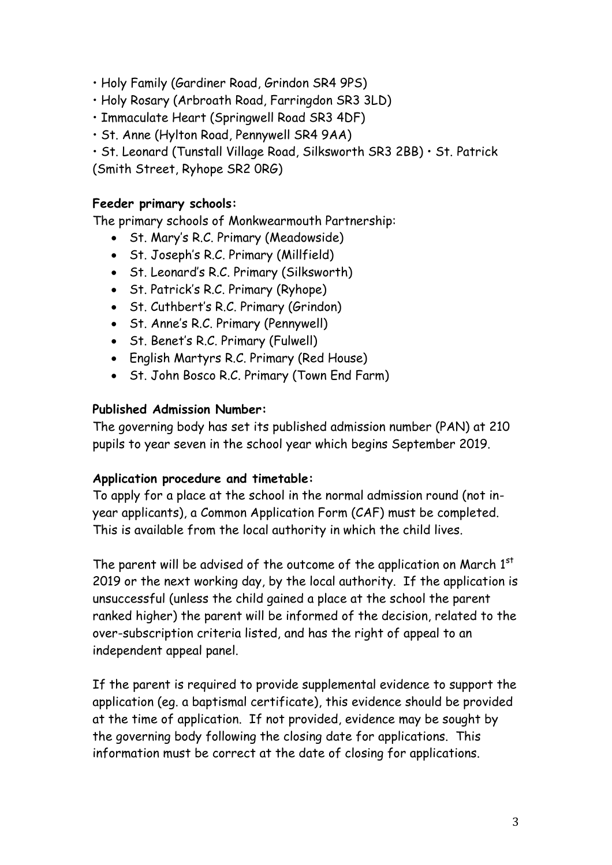- Holy Family (Gardiner Road, Grindon SR4 9PS)
- Holy Rosary (Arbroath Road, Farringdon SR3 3LD)
- Immaculate Heart (Springwell Road SR3 4DF)
- St. Anne (Hylton Road, Pennywell SR4 9AA)
- St. Leonard (Tunstall Village Road, Silksworth SR3 2BB) St. Patrick

(Smith Street, Ryhope SR2 0RG)

#### **Feeder primary schools:**

The primary schools of Monkwearmouth Partnership:

- St. Mary's R.C. Primary (Meadowside)
- St. Joseph's R.C. Primary (Millfield)
- St. Leonard's R.C. Primary (Silksworth)
- St. Patrick's R.C. Primary (Ryhope)
- St. Cuthbert's R.C. Primary (Grindon)
- St. Anne's R.C. Primary (Pennywell)
- St. Benet's R.C. Primary (Fulwell)
- English Martyrs R.C. Primary (Red House)
- St. John Bosco R.C. Primary (Town End Farm)

## **Published Admission Number:**

The governing body has set its published admission number (PAN) at 210 pupils to year seven in the school year which begins September 2019.

#### **Application procedure and timetable:**

To apply for a place at the school in the normal admission round (not inyear applicants), a Common Application Form (CAF) must be completed. This is available from the local authority in which the child lives.

The parent will be advised of the outcome of the application on March  $1<sup>st</sup>$ 2019 or the next working day, by the local authority. If the application is unsuccessful (unless the child gained a place at the school the parent ranked higher) the parent will be informed of the decision, related to the over-subscription criteria listed, and has the right of appeal to an independent appeal panel.

If the parent is required to provide supplemental evidence to support the application (eg. a baptismal certificate), this evidence should be provided at the time of application. If not provided, evidence may be sought by the governing body following the closing date for applications. This information must be correct at the date of closing for applications.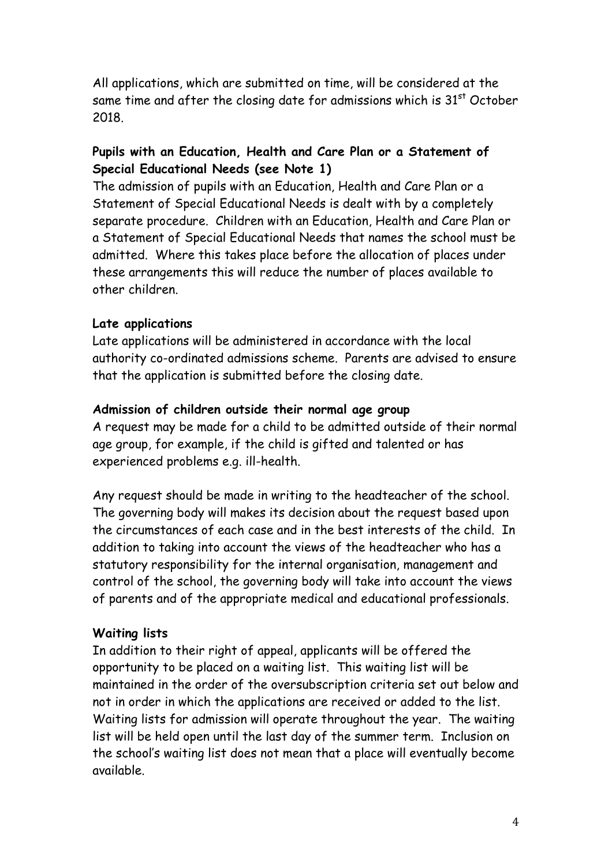All applications, which are submitted on time, will be considered at the same time and after the closing date for admissions which is  $31<sup>st</sup>$  October 2018.

# **Pupils with an Education, Health and Care Plan or a Statement of Special Educational Needs (see Note 1)**

The admission of pupils with an Education, Health and Care Plan or a Statement of Special Educational Needs is dealt with by a completely separate procedure. Children with an Education, Health and Care Plan or a Statement of Special Educational Needs that names the school must be admitted. Where this takes place before the allocation of places under these arrangements this will reduce the number of places available to other children.

## **Late applications**

Late applications will be administered in accordance with the local authority co-ordinated admissions scheme. Parents are advised to ensure that the application is submitted before the closing date.

#### **Admission of children outside their normal age group**

A request may be made for a child to be admitted outside of their normal age group, for example, if the child is gifted and talented or has experienced problems e.g. ill-health.

Any request should be made in writing to the headteacher of the school. The governing body will makes its decision about the request based upon the circumstances of each case and in the best interests of the child. In addition to taking into account the views of the headteacher who has a statutory responsibility for the internal organisation, management and control of the school, the governing body will take into account the views of parents and of the appropriate medical and educational professionals.

# **Waiting lists**

In addition to their right of appeal, applicants will be offered the opportunity to be placed on a waiting list. This waiting list will be maintained in the order of the oversubscription criteria set out below and not in order in which the applications are received or added to the list. Waiting lists for admission will operate throughout the year. The waiting list will be held open until the last day of the summer term. Inclusion on the school's waiting list does not mean that a place will eventually become available.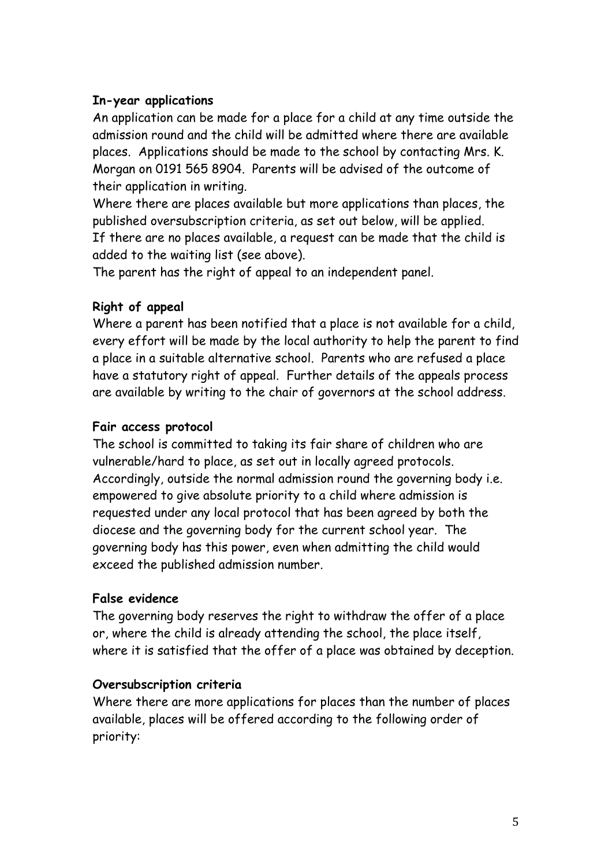# **In-year applications**

An application can be made for a place for a child at any time outside the admission round and the child will be admitted where there are available places. Applications should be made to the school by contacting Mrs. K. Morgan on 0191 565 8904. Parents will be advised of the outcome of their application in writing.

Where there are places available but more applications than places, the published oversubscription criteria, as set out below, will be applied. If there are no places available, a request can be made that the child is added to the waiting list (see above).

The parent has the right of appeal to an independent panel.

# **Right of appeal**

Where a parent has been notified that a place is not available for a child, every effort will be made by the local authority to help the parent to find a place in a suitable alternative school. Parents who are refused a place have a statutory right of appeal. Further details of the appeals process are available by writing to the chair of governors at the school address.

## **Fair access protocol**

The school is committed to taking its fair share of children who are vulnerable/hard to place, as set out in locally agreed protocols. Accordingly, outside the normal admission round the governing body i.e. empowered to give absolute priority to a child where admission is requested under any local protocol that has been agreed by both the diocese and the governing body for the current school year. The governing body has this power, even when admitting the child would exceed the published admission number.

# **False evidence**

The governing body reserves the right to withdraw the offer of a place or, where the child is already attending the school, the place itself, where it is satisfied that the offer of a place was obtained by deception.

# **Oversubscription criteria**

Where there are more applications for places than the number of places available, places will be offered according to the following order of priority: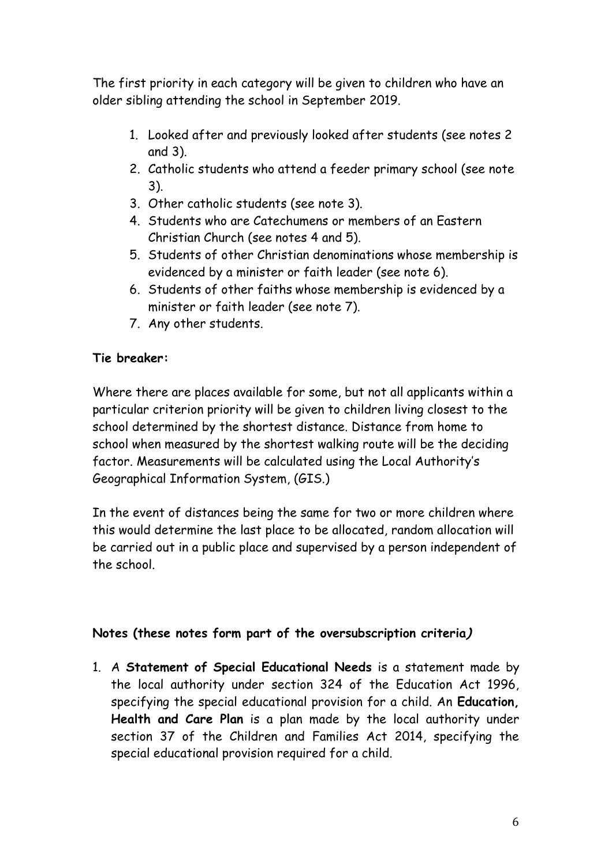The first priority in each category will be given to children who have an older sibling attending the school in September 2019.

- 1. Looked after and previously looked after students (see notes 2 and 3).
- 2. Catholic students who attend a feeder primary school (see note 3).
- 3. Other catholic students (see note 3).
- 4. Students who are Catechumens or members of an Eastern Christian Church (see notes 4 and 5).
- 5. Students of other Christian denominations whose membership is evidenced by a minister or faith leader (see note 6).
- 6. Students of other faiths whose membership is evidenced by a minister or faith leader (see note 7).
- 7. Any other students.

# **Tie breaker:**

Where there are places available for some, but not all applicants within a particular criterion priority will be given to children living closest to the school determined by the shortest distance. Distance from home to school when measured by the shortest walking route will be the deciding factor. Measurements will be calculated using the Local Authority's Geographical Information System, (GIS.)

In the event of distances being the same for two or more children where this would determine the last place to be allocated, random allocation will be carried out in a public place and supervised by a person independent of the school.

# **Notes (these notes form part of the oversubscription criteria)**

1. A **Statement of Special Educational Needs** is a statement made by the local authority under section 324 of the Education Act 1996, specifying the special educational provision for a child. An **Education, Health and Care Plan** is a plan made by the local authority under section 37 of the Children and Families Act 2014, specifying the special educational provision required for a child.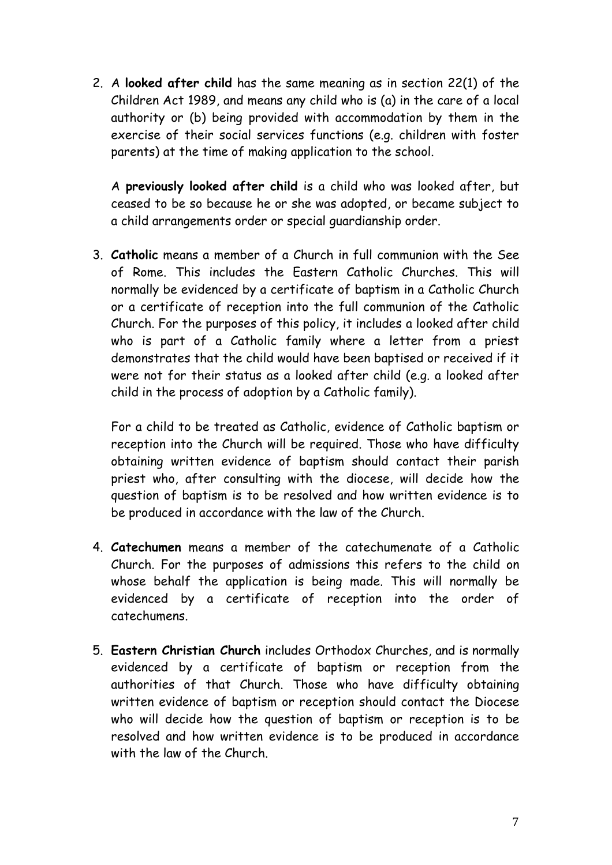2. A **looked after child** has the same meaning as in section 22(1) of the Children Act 1989, and means any child who is (a) in the care of a local authority or (b) being provided with accommodation by them in the exercise of their social services functions (e.g. children with foster parents) at the time of making application to the school.

A **previously looked after child** is a child who was looked after, but ceased to be so because he or she was adopted, or became subject to a child arrangements order or special guardianship order.

3. **Catholic** means a member of a Church in full communion with the See of Rome. This includes the Eastern Catholic Churches. This will normally be evidenced by a certificate of baptism in a Catholic Church or a certificate of reception into the full communion of the Catholic Church. For the purposes of this policy, it includes a looked after child who is part of a Catholic family where a letter from a priest demonstrates that the child would have been baptised or received if it were not for their status as a looked after child (e.g. a looked after child in the process of adoption by a Catholic family).

For a child to be treated as Catholic, evidence of Catholic baptism or reception into the Church will be required. Those who have difficulty obtaining written evidence of baptism should contact their parish priest who, after consulting with the diocese, will decide how the question of baptism is to be resolved and how written evidence is to be produced in accordance with the law of the Church.

- 4. **Catechumen** means a member of the catechumenate of a Catholic Church. For the purposes of admissions this refers to the child on whose behalf the application is being made. This will normally be evidenced by a certificate of reception into the order of catechumens.
- 5. **Eastern Christian Church** includes Orthodox Churches, and is normally evidenced by a certificate of baptism or reception from the authorities of that Church. Those who have difficulty obtaining written evidence of baptism or reception should contact the Diocese who will decide how the question of baptism or reception is to be resolved and how written evidence is to be produced in accordance with the law of the Church.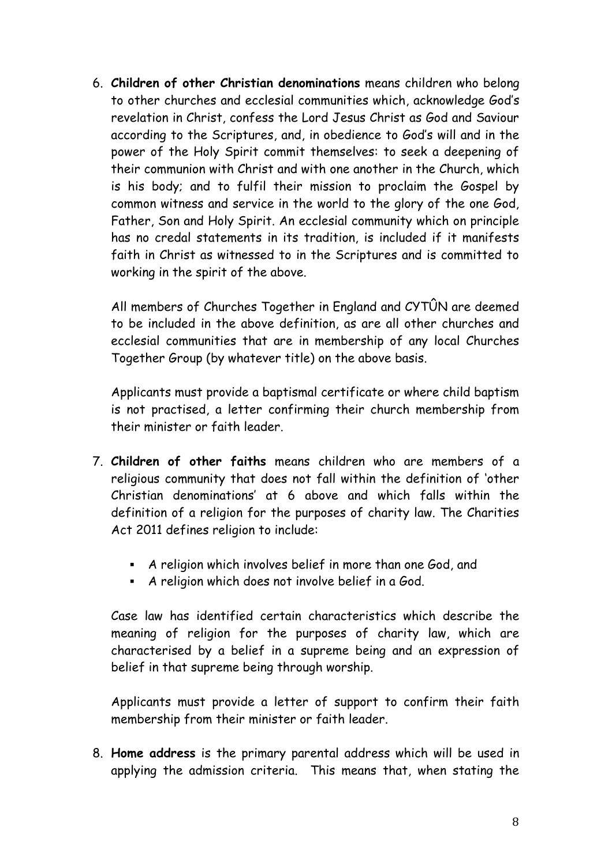6. **Children of other Christian denominations** means children who belong to other churches and ecclesial communities which, acknowledge God's revelation in Christ, confess the Lord Jesus Christ as God and Saviour according to the Scriptures, and, in obedience to God's will and in the power of the Holy Spirit commit themselves: to seek a deepening of their communion with Christ and with one another in the Church, which is his body; and to fulfil their mission to proclaim the Gospel by common witness and service in the world to the glory of the one God, Father, Son and Holy Spirit. An ecclesial community which on principle has no credal statements in its tradition, is included if it manifests faith in Christ as witnessed to in the Scriptures and is committed to working in the spirit of the above.

All members of Churches Together in England and CYTÛN are deemed to be included in the above definition, as are all other churches and ecclesial communities that are in membership of any local Churches Together Group (by whatever title) on the above basis.

Applicants must provide a baptismal certificate or where child baptism is not practised, a letter confirming their church membership from their minister or faith leader.

- 7. **Children of other faiths** means children who are members of a religious community that does not fall within the definition of 'other Christian denominations' at 6 above and which falls within the definition of a religion for the purposes of charity law. The Charities Act 2011 defines religion to include:
	- A religion which involves belief in more than one God, and
	- A religion which does not involve belief in a God.

Case law has identified certain characteristics which describe the meaning of religion for the purposes of charity law, which are characterised by a belief in a supreme being and an expression of belief in that supreme being through worship.

Applicants must provide a letter of support to confirm their faith membership from their minister or faith leader.

8. **Home address** is the primary parental address which will be used in applying the admission criteria. This means that, when stating the